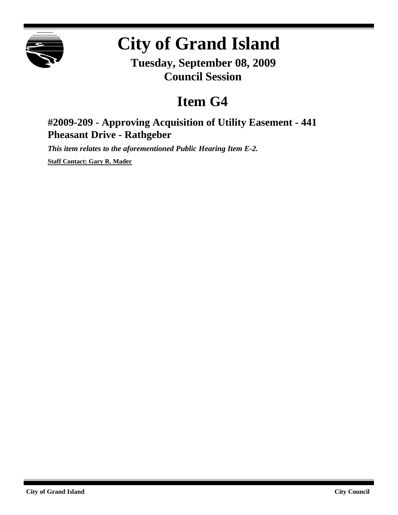

## **City of Grand Island**

**Tuesday, September 08, 2009 Council Session**

## **Item G4**

## **#2009-209 - Approving Acquisition of Utility Easement - 441 Pheasant Drive - Rathgeber**

*This item relates to the aforementioned Public Hearing Item E-2.*

**Staff Contact: Gary R. Mader**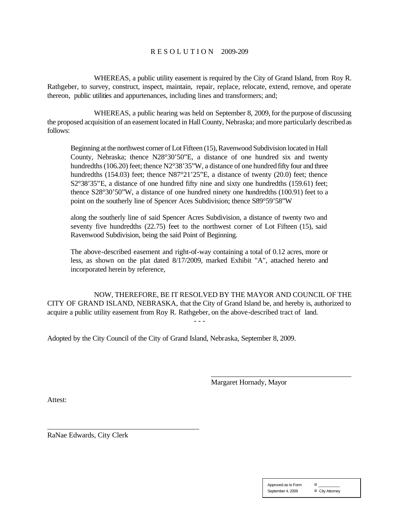## R E S O L U T I O N 2009-209

WHEREAS, a public utility easement is required by the City of Grand Island, from Roy R. Rathgeber, to survey, construct, inspect, maintain, repair, replace, relocate, extend, remove, and operate thereon, public utilities and appurtenances, including lines and transformers; and;

WHEREAS, a public hearing was held on September 8, 2009, for the purpose of discussing the proposed acquisition of an easement located in Hall County, Nebraska; and more particularly described as follows:

Beginning at the northwest corner of Lot Fifteen (15), Ravenwood Subdivision located in Hall County, Nebraska; thence N28°30'50"E, a distance of one hundred six and twenty hundredths (106.20) feet; thence N2°38'35"W, a distance of one hundred fifty four and three hundredths (154.03) feet; thence N87°21'25"E, a distance of twenty (20.0) feet; thence S2°38'35"E, a distance of one hundred fifty nine and sixty one hundredths (159.61) feet; thence S28°30'50"W, a distance of one hundred ninety one hundredths (100.91) feet to a point on the southerly line of Spencer Aces Subdivision; thence S89°59'58"W

along the southerly line of said Spencer Acres Subdivision, a distance of twenty two and seventy five hundredths (22.75) feet to the northwest corner of Lot Fifteen (15), said Ravenwood Subdivision, being the said Point of Beginning.

The above-described easement and right-of-way containing a total of 0.12 acres, more or less, as shown on the plat dated 8/17/2009, marked Exhibit "A", attached hereto and incorporated herein by reference,

NOW, THEREFORE, BE IT RESOLVED BY THE MAYOR AND COUNCIL OF THE CITY OF GRAND ISLAND, NEBRASKA, that the City of Grand Island be, and hereby is, authorized to acquire a public utility easement from Roy R. Rathgeber, on the above-described tract of land.

- - -

Adopted by the City Council of the City of Grand Island, Nebraska, September 8, 2009.

Margaret Hornady, Mayor

\_\_\_\_\_\_\_\_\_\_\_\_\_\_\_\_\_\_\_\_\_\_\_\_\_\_\_\_\_\_\_\_\_\_\_\_\_\_\_

Attest:

RaNae Edwards, City Clerk

\_\_\_\_\_\_\_\_\_\_\_\_\_\_\_\_\_\_\_\_\_\_\_\_\_\_\_\_\_\_\_\_\_\_\_\_\_\_\_

| Approved as to Form | ¤               |
|---------------------|-----------------|
| September 4, 2009   | ¤ City Attorney |